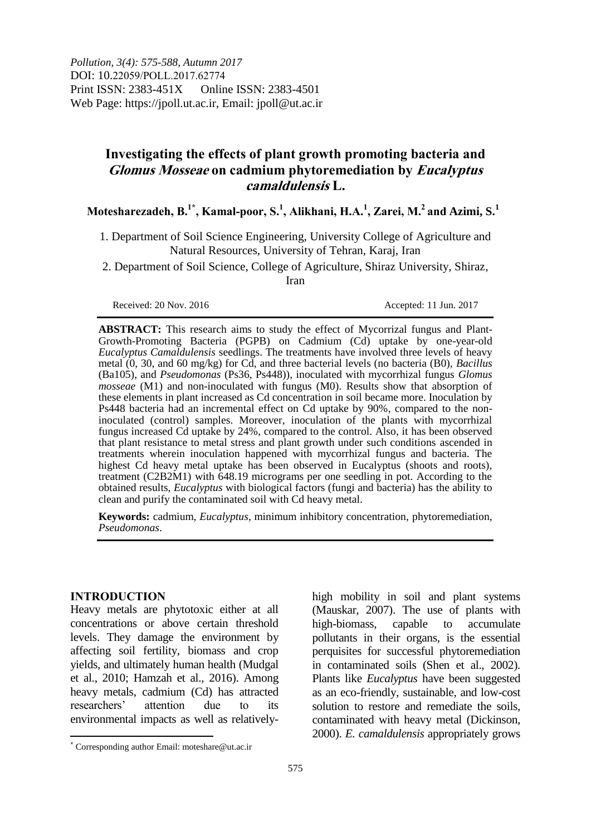*Pollution, 3(4): 575-588, Autumn 2017*  DOI: 10.22059/POLL.2017.62774 Print ISSN: 2383-451X Online ISSN: 2383-4501 Web Page: https://jpoll.ut.ac.ir, Email: jpoll@ut.ac.ir

# **Investigating the effects of plant growth promoting bacteria and Glomus Mosseae on cadmium phytoremediation by Eucalyptus camaldulensis L.**

## **Motesharezadeh, B.1\*, Kamal-poor, S.<sup>1</sup> , Alikhani, H.A.<sup>1</sup> , Zarei, M.<sup>2</sup>and Azimi, S.<sup>1</sup>**

1. Department of Soil Science Engineering, University College of Agriculture and Natural Resources, University of Tehran, Karaj, Iran

2. Department of Soil Science, College of Agriculture, Shiraz University, Shiraz, Iran

Received: 20 Nov. 2016 <br>Received: 11 Jun. 2017

**ABSTRACT:** This research aims to study the effect of Mycorrizal fungus and Plant-Growth-Promoting Bacteria (PGPB) on Cadmium (Cd) uptake by one-year-old *Eucalyptus Camaldulensis* seedlings. The treatments have involved three levels of heavy metal (0, 30, and 60 mg/kg) for Cd, and three bacterial levels (no bacteria (B0), *Bacillus* (Ba105), and *Pseudomonas* (Ps36, Ps448)), inoculated with mycorrhizal fungus *Glomus mosseae* (M1) and non-inoculated with fungus (M0). Results show that absorption of these elements in plant increased as Cd concentration in soil became more. Inoculation by Ps448 bacteria had an incremental effect on Cd uptake by 90%, compared to the noninoculated (control) samples. Moreover, inoculation of the plants with mycorrhizal fungus increased Cd uptake by 24%, compared to the control. Also, it has been observed that plant resistance to metal stress and plant growth under such conditions ascended in treatments wherein inoculation happened with mycorrhizal fungus and bacteria. The highest Cd heavy metal uptake has been observed in Eucalyptus (shoots and roots), treatment (C2B2M1) with 648.19 micrograms per one seedling in pot. According to the obtained results, *Eucalyptus* with biological factors (fungi and bacteria) has the ability to clean and purify the contaminated soil with Cd heavy metal.

**Keywords:** cadmium, *Eucalyptus*, minimum inhibitory concentration, phytoremediation, *Pseudomonas*.

#### **INTRODUCTION**

Heavy metals are phytotoxic either at all concentrations or above certain threshold levels. They damage the environment by affecting soil fertility, biomass and crop yields, and ultimately human health (Mudgal et al., 2010; Hamzah et al., 2016). Among heavy metals, cadmium (Cd) has attracted researchers' attention due to its environmental impacts as well as relativelyhigh mobility in soil and plant systems (Mauskar, 2007). The use of plants with high-biomass, capable to accumulate pollutants in their organs, is the essential perquisites for successful phytoremediation in contaminated soils (Shen et al., 2002). Plants like *Eucalyptus* have been suggested as an eco-friendly, sustainable, and low-cost solution to restore and remediate the soils, contaminated with heavy metal (Dickinson, 2000). *E. camaldulensis* appropriately grows

Corresponding author Email: moteshare@ut.ac.ir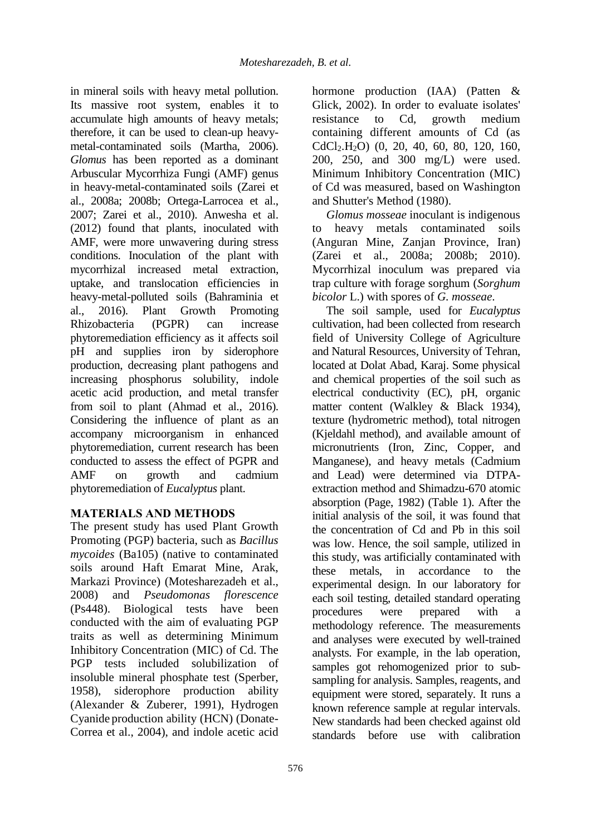in mineral soils with heavy metal pollution. Its massive root system, enables it to accumulate high amounts of heavy metals; therefore, it can be used to clean-up heavymetal-contaminated soils (Martha, 2006). *Glomus* has been reported as a dominant Arbuscular Mycorrhiza Fungi (AMF) genus in heavy-metal-contaminated soils (Zarei et al., 2008a; 2008b; Ortega-Larrocea et al., 2007; Zarei et al., 2010). Anwesha et al. (2012) found that plants, inoculated with AMF, were more unwavering during stress conditions. Inoculation of the plant with mycorrhizal increased metal extraction, uptake, and translocation efficiencies in heavy-metal-polluted soils (Bahraminia et al., 2016). Plant Growth Promoting Rhizobacteria (PGPR) can increase phytoremediation efficiency as it affects soil pH and supplies iron by siderophore production, decreasing plant pathogens and increasing phosphorus solubility, indole acetic acid production, and metal transfer from soil to plant (Ahmad et al., 2016). Considering the influence of plant as an accompany microorganism in enhanced phytoremediation, current research has been conducted to assess the effect of PGPR and AMF on growth and cadmium phytoremediation of *Eucalyptus* plant.

## **MATERIALS AND METHODS**

The present study has used Plant Growth Promoting (PGP) bacteria, such as *Bacillus mycoides* (Ba105) (native to contaminated soils around Haft Emarat Mine, Arak, Markazi Province) (Motesharezadeh et al., 2008) and *Pseudomonas florescence* (Ps448). Biological tests have been conducted with the aim of evaluating PGP traits as well as determining Minimum Inhibitory Concentration (MIC) of Cd. The PGP tests included solubilization of insoluble mineral phosphate test (Sperber, 1958), siderophore production ability (Alexander & Zuberer, 1991), Hydrogen Cyanide production ability (HCN) (Donate-Correa et al., 2004), and indole acetic acid

hormone production (IAA) (Patten & Glick, 2002). In order to evaluate isolates' resistance to Cd, growth medium containing different amounts of Cd (as CdCl2.H2O) (0, 20, 40, 60, 80, 120, 160, 200, 250, and 300 mg/L) were used. Minimum Inhibitory Concentration (MIC) of Cd was measured, based on Washington and Shutter's Method (1980).

*Glomus mosseae* inoculant is indigenous to heavy metals contaminated soils (Anguran Mine, Zanjan Province, Iran) (Zarei et al., 2008a; 2008b; 2010). Mycorrhizal inoculum was prepared via trap culture with forage sorghum (*Sorghum bicolor* L.) with spores of *G. mosseae*.

The soil sample, used for *Eucalyptus* cultivation, had been collected from research field of University College of Agriculture and Natural Resources, University of Tehran, located at Dolat Abad, Karaj. Some physical and chemical properties of the soil such as electrical conductivity (EC), pH, organic matter content (Walkley & Black 1934), texture (hydrometric method), total nitrogen (Kjeldahl method), and available amount of micronutrients (Iron, Zinc, Copper, and Manganese), and heavy metals (Cadmium and Lead) were determined via DTPAextraction method and Shimadzu-670 atomic absorption (Page, 1982) (Table 1). After the initial analysis of the soil, it was found that the concentration of Cd and Pb in this soil was low. Hence, the soil sample, utilized in this study, was artificially contaminated with these metals, in accordance to the experimental design. In our laboratory for each soil testing, detailed standard operating procedures were prepared with a methodology reference. The measurements and analyses were executed by well-trained analysts. For example, in the lab operation, samples got rehomogenized prior to subsampling for analysis. Samples, reagents, and equipment were stored, separately. It runs a known reference sample at regular intervals. New standards had been checked against old standards before use with calibration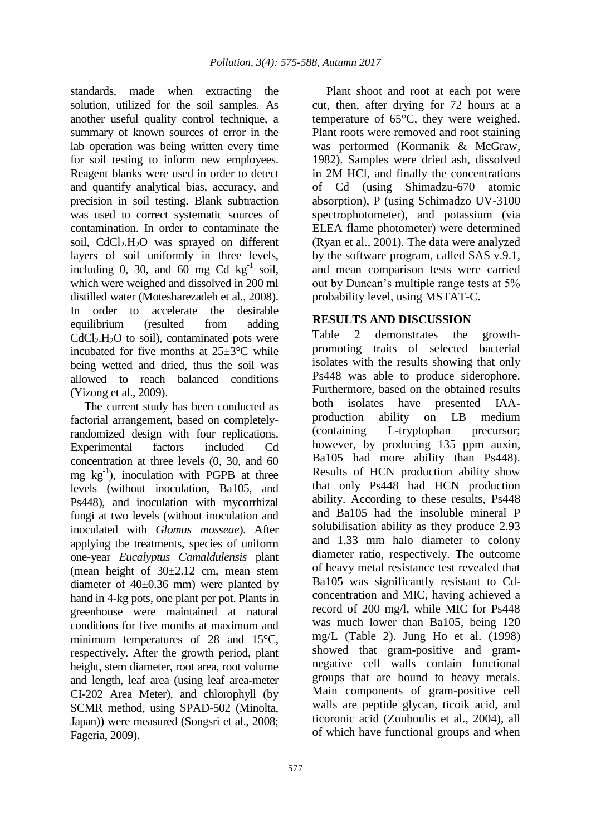standards, made when extracting the solution, utilized for the soil samples. As another useful quality control technique, a summary of known sources of error in the lab operation was being written every time for soil testing to inform new employees. Reagent blanks were used in order to detect and quantify analytical bias, accuracy, and precision in soil testing. Blank subtraction was used to correct systematic sources of contamination. In order to contaminate the soil,  $CdCl<sub>2</sub>H<sub>2</sub>O$  was sprayed on different layers of soil uniformly in three levels, including 0, 30, and 60 mg Cd  $kg^{-1}$  soil, which were weighed and dissolved in 200 ml distilled water (Motesharezadeh et al., 2008). In order to accelerate the desirable equilibrium (resulted from adding  $CdCl<sub>2</sub>H<sub>2</sub>O$  to soil), contaminated pots were incubated for five months at 25±3°C while being wetted and dried, thus the soil was allowed to reach balanced conditions (Yizong et al., 2009).

The current study has been conducted as factorial arrangement, based on completelyrandomized design with four replications. Experimental factors included Cd concentration at three levels (0, 30, and 60 mg  $kg^{-1}$ ), inoculation with PGPB at three levels (without inoculation, Ba105, and Ps448), and inoculation with mycorrhizal fungi at two levels (without inoculation and inoculated with *Glomus mosseae*). After applying the treatments, species of uniform one-year *Eucalyptus Camaldulensis* plant (mean height of  $30\pm2.12$  cm, mean stem diameter of 40±0.36 mm) were planted by hand in 4-kg pots, one plant per pot. Plants in greenhouse were maintained at natural conditions for five months at maximum and minimum temperatures of 28 and 15°C, respectively. After the growth period, plant height, stem diameter, root area, root volume and length, leaf area (using leaf area-meter CI-202 Area Meter), and chlorophyll (by SCMR method, using SPAD-502 (Minolta, Japan)) were measured (Songsri et al., 2008; Fageria, 2009).

Plant shoot and root at each pot were cut, then, after drying for 72 hours at a temperature of 65°C, they were weighed. Plant roots were removed and root staining was performed (Kormanik & McGraw, 1982). Samples were dried ash, dissolved in 2M HCl, and finally the concentrations of Cd (using Shimadzu-670 atomic absorption), P (using Schimadzo UV-3100 spectrophotometer), and potassium (via ELEA flame photometer) were determined (Ryan et al., 2001). The data were analyzed by the software program, called SAS v.9.1, and mean comparison tests were carried out by Duncan's multiple range tests at 5% probability level, using MSTAT-C.

### **RESULTS AND DISCUSSION**

Table 2 demonstrates the growthpromoting traits of selected bacterial isolates with the results showing that only Ps448 was able to produce siderophore. Furthermore, based on the obtained results both isolates have presented IAAproduction ability on LB medium (containing L-tryptophan precursor; however, by producing 135 ppm auxin, Ba105 had more ability than Ps448). Results of HCN production ability show that only Ps448 had HCN production ability. According to these results, Ps448 and Ba105 had the insoluble mineral P solubilisation ability as they produce 2.93 and 1.33 mm halo diameter to colony diameter ratio, respectively. The outcome of heavy metal resistance test revealed that Ba105 was significantly resistant to Cdconcentration and MIC, having achieved a record of 200 mg/l, while MIC for Ps448 was much lower than Ba105, being 120 mg/L (Table 2). Jung Ho et al. (1998) showed that gram-positive and gramnegative cell walls contain functional groups that are bound to heavy metals. Main components of gram-positive cell walls are peptide glycan, ticoik acid, and ticoronic acid (Zouboulis et al., 2004), all of which have functional groups and when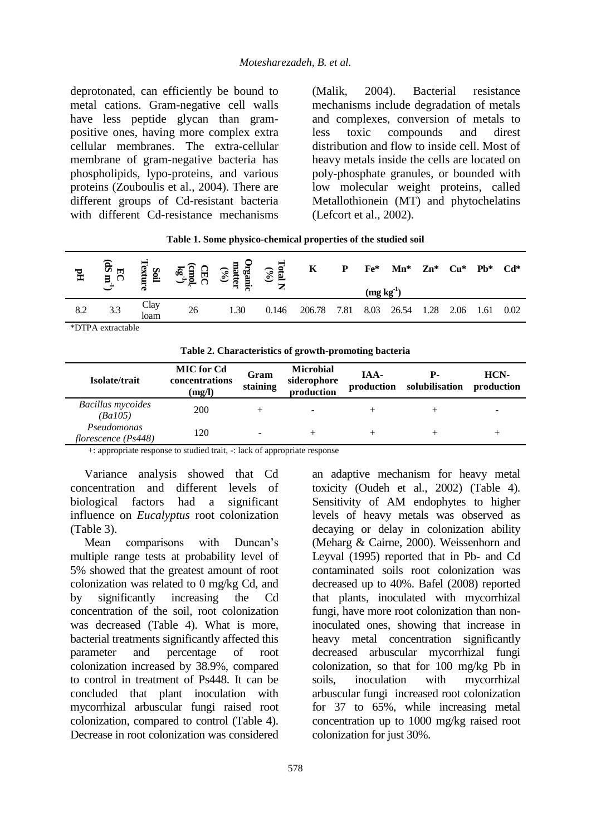deprotonated, can efficiently be bound to metal cations. Gram-negative cell walls have less peptide glycan than grampositive ones, having more complex extra cellular membranes. The extra-cellular membrane of gram-negative bacteria has phospholipids, lypo-proteins, and various proteins (Zouboulis et al., 2004). There are different groups of Cd-resistant bacteria with different Cd-resistance mechanisms

(Malik, 2004). Bacterial resistance mechanisms include degradation of metals and complexes, conversion of metals to less toxic compounds and direst distribution and flow to inside cell. Most of heavy metals inside the cells are located on poly-phosphate granules, or bounded with low molecular weight proteins, called Metallothionein (MT) and phytochelatins (Lefcort et al., 2002).

**Table 1. Some physico-chemical properties of the studied soil**

| $\mathbb{H}$      | EC<br>BC | Soil<br>extur | GBC<br>មិនិ <sup>ដ្ឋ</sup> | $\begin{array}{c} \textbf{Organic}\\ \textbf{matter}\\ \textbf{co} \end{array}$ | $\frac{1}{2}$<br>⇁ | K      | P    | $Fe*$<br>$(mg kg-1)$ | $\mathbf{M}$ n* | $Zn^*$ | Cu*  | $Pb*$ | $Cd*$ |
|-------------------|----------|---------------|----------------------------|---------------------------------------------------------------------------------|--------------------|--------|------|----------------------|-----------------|--------|------|-------|-------|
| 8.2               | 3.3      | Clav<br>loam  | 26                         | 1.30                                                                            | 0.146              | 206.78 | 7.81 | 8.03                 | 26.54           | 1.28   | 2.06 | .61   | 0.02  |
| *DTPA extractable |          |               |                            |                                                                                 |                    |        |      |                      |                 |        |      |       |       |

**Table 2. Characteristics of growth-promoting bacteria**

| Isolate/trait                       | <b>MIC</b> for Cd<br>concentrations<br>(mg/l) | Gram<br>staining | <b>Microbial</b><br>siderophore<br>production | IAA-<br>production | Р-<br>solubilisation | HCN-<br>production |
|-------------------------------------|-----------------------------------------------|------------------|-----------------------------------------------|--------------------|----------------------|--------------------|
| <b>Bacillus</b> mycoides<br>(Ba105) | 200                                           |                  |                                               |                    |                      |                    |
| Pseudomonas<br>florescence (Ps448)  | 120                                           | -                |                                               |                    |                      |                    |

+: appropriate response to studied trait, -: lack of appropriate response

Variance analysis showed that Cd concentration and different levels of biological factors had a significant influence on *Eucalyptus* root colonization (Table 3).

Mean comparisons with Duncan's multiple range tests at probability level of 5% showed that the greatest amount of root colonization was related to 0 mg/kg Cd, and by significantly increasing the Cd concentration of the soil, root colonization was decreased (Table 4). What is more, bacterial treatments significantly affected this parameter and percentage of root colonization increased by 38.9%, compared to control in treatment of Ps448. It can be concluded that plant inoculation with mycorrhizal arbuscular fungi raised root colonization, compared to control (Table 4). Decrease in root colonization was considered

an adaptive mechanism for heavy metal toxicity (Oudeh et al., 2002) (Table 4). Sensitivity of AM endophytes to higher levels of heavy metals was observed as decaying or delay in colonization ability (Meharg & Cairne, 2000). Weissenhorn and Leyval (1995) reported that in Pb- and Cd contaminated soils root colonization was decreased up to 40%. Bafel (2008) reported that plants, inoculated with mycorrhizal fungi, have more root colonization than noninoculated ones, showing that increase in heavy metal concentration significantly decreased arbuscular mycorrhizal fungi colonization, so that for 100 mg/kg Pb in soils, inoculation with mycorrhizal arbuscular fungi increased root colonization for 37 to 65%, while increasing metal concentration up to 1000 mg/kg raised root colonization for just 30%.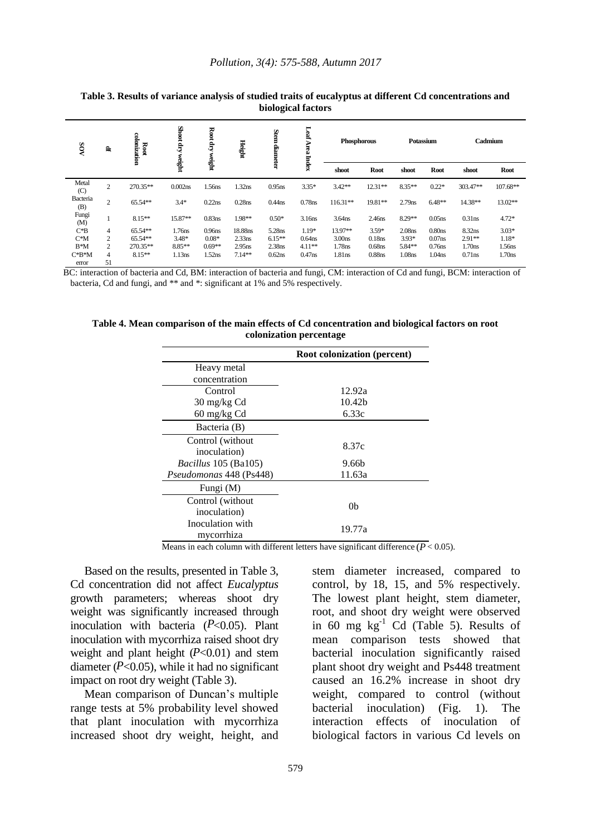| <b>NOS</b>      | 島              | colonization<br>Root | Shoot dry<br>weight | Root dry<br>weight | Height    | Stem diameter      | Leaf<br>Area<br><b>Index</b> | Phosphorous        |             |                    | Potassium          |                    | Cadmium            |
|-----------------|----------------|----------------------|---------------------|--------------------|-----------|--------------------|------------------------------|--------------------|-------------|--------------------|--------------------|--------------------|--------------------|
|                 |                |                      |                     |                    |           |                    |                              | shoot              | <b>Root</b> | shoot              | Root               | shoot              | <b>Root</b>        |
| Metal<br>(C)    | 2              | 270.35**             | $0.002$ ns          | 1.56ns             | 1.32ns    | $0.95$ ns          | $3.35*$                      | $3.42**$           | $12.31**$   | $8.35**$           | $0.22*$            | 303.47**           | $107.68**$         |
| Bacteria<br>(B) | 2              | 65.54**              | $3.4*$              | $0.22$ ns          | $0.28$ ns | $0.44$ ns          | 0.78ns                       | $116.31**$         | 19.81**     | $2.79$ ns          | $6.48**$           | 14.38**            | 13.02**            |
| Fungi<br>(M)    |                | $8.15**$             | 15.87**             | $0.83$ ns          | 1.98**    | $0.50*$            | 3.16ns                       | 3.64ns             | 2.46ns      | 8.29**             | $0.05$ ns          | $0.31$ ns          | $4.72*$            |
| $C*B$           | 4              | 65.54**              | 1.76ns              | 0.96 <sub>ns</sub> | 18.88ns   | 5.28ns             | $1.19*$                      | 13.97**            | $3.59*$     | 2.08 <sub>ns</sub> | 0.80 <sub>ns</sub> | 8.32ns             | $3.03*$            |
| $C^*M$          | 2              | 65.54**              | $3.48*$             | $0.08*$            | $2.33$ ns | $6.15**$           | $0.64$ ns                    | 3.00 <sub>ns</sub> | $0.18$ ns   | $3.93*$            | $0.07$ ns          | $2.91**$           | $1.18*$            |
| $B^*M$          | $\overline{c}$ | 270.35**             | 8.85**              | $0.69**$           | $2.95$ ns | 2.38 <sub>ns</sub> | $4.11**$                     | 1.78ns             | $0.68$ ns   | 5.84**             | $0.76$ ns          | 1.70 <sub>ns</sub> | 1.56ns             |
| $C*B^*M$        | 4              | $8.15**$             | 1.13ns              | 1.52ns             | $7.14**$  | $0.62$ ns          | $0.47$ ns                    | 1.81ns             | $0.88$ ns   | 1.08ns             | 1.04ns             | $0.71$ ns          | 1.70 <sub>ns</sub> |
| error           | 51             |                      |                     |                    |           |                    |                              |                    |             |                    |                    |                    |                    |

**Table 3. Results of variance analysis of studied traits of eucalyptus at different Cd concentrations and biological factors** 

BC: interaction of bacteria and Cd, BM: interaction of bacteria and fungi, CM: interaction of Cd and fungi, BCM: interaction of bacteria, Cd and fungi, and \*\* and \*: significant at 1% and 5% respectively.

|                             | <b>Root colonization (percent)</b> |  |  |  |  |
|-----------------------------|------------------------------------|--|--|--|--|
| Heavy metal                 |                                    |  |  |  |  |
| concentration               |                                    |  |  |  |  |
| Control                     | 12.92a                             |  |  |  |  |
| 30 mg/kg Cd                 | 10.42 <sub>b</sub>                 |  |  |  |  |
| 60 mg/kg Cd                 | 6.33c                              |  |  |  |  |
| Bacteria (B)                |                                    |  |  |  |  |
| Control (without)           |                                    |  |  |  |  |
| inoculation)                | 8.37c                              |  |  |  |  |
| <i>Bacillus</i> 105 (Ba105) | 9.66b                              |  |  |  |  |
| Pseudomonas 448 (Ps448)     | 11.63a                             |  |  |  |  |
| Fungi (M)                   |                                    |  |  |  |  |
| Control (without            |                                    |  |  |  |  |
| inoculation)                | 0 <sub>b</sub>                     |  |  |  |  |
| Inoculation with            |                                    |  |  |  |  |
| mycorrhiza                  | 19.77a                             |  |  |  |  |

**Table 4. Mean comparison of the main effects of Cd concentration and biological factors on root colonization percentage**

Means in each column with different letters have significant difference  $(P < 0.05)$ .

Based on the results, presented in Table 3, Cd concentration did not affect *Eucalyptus* growth parameters; whereas shoot dry weight was significantly increased through inoculation with bacteria  $(P<0.05)$ . Plant inoculation with mycorrhiza raised shoot dry weight and plant height  $(P<0.01)$  and stem diameter  $(P<0.05)$ , while it had no significant impact on root dry weight (Table 3).

Mean comparison of Duncan's multiple range tests at 5% probability level showed that plant inoculation with mycorrhiza increased shoot dry weight, height, and stem diameter increased, compared to control, by 18, 15, and 5% respectively. The lowest plant height, stem diameter, root, and shoot dry weight were observed in 60 mg  $kg^{-1}$  Cd (Table 5). Results of mean comparison tests showed that bacterial inoculation significantly raised plant shoot dry weight and Ps448 treatment caused an 16.2% increase in shoot dry weight, compared to control (without bacterial inoculation) (Fig. 1). The interaction effects of inoculation of biological factors in various Cd levels on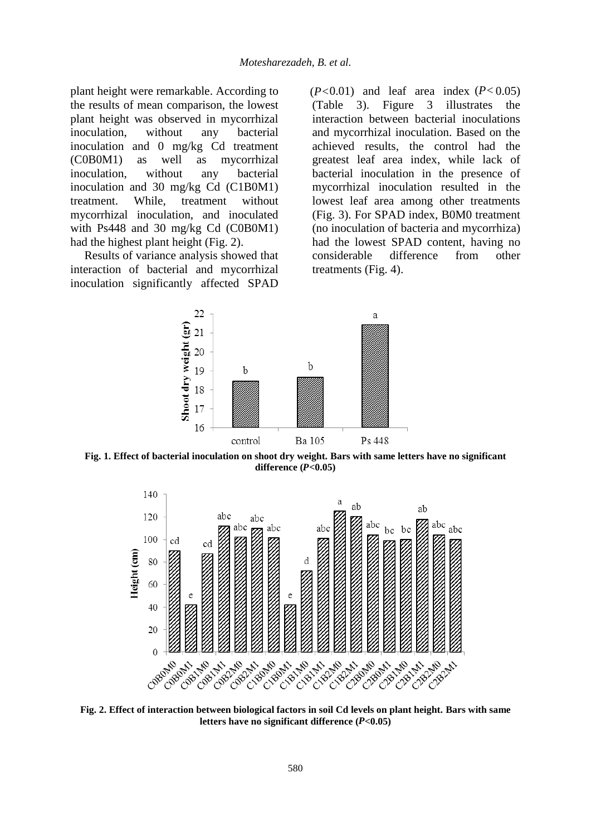plant height were remarkable. According to the results of mean comparison, the lowest plant height was observed in mycorrhizal inoculation, without any bacterial inoculation and 0 mg/kg Cd treatment (C0B0M1) as well as mycorrhizal inoculation, without any bacterial inoculation and 30 mg/kg Cd (C1B0M1) treatment. While, treatment without mycorrhizal inoculation, and inoculated with Ps448 and 30 mg/kg Cd (C0B0M1) had the highest plant height (Fig. 2).

Results of variance analysis showed that interaction of bacterial and mycorrhizal inoculation significantly affected SPAD  $(P<0.01)$  and leaf area index  $(P<0.05)$ (Table 3). Figure 3 illustrates the interaction between bacterial inoculations and mycorrhizal inoculation. Based on the achieved results, the control had the greatest leaf area index, while lack of bacterial inoculation in the presence of mycorrhizal inoculation resulted in the lowest leaf area among other treatments (Fig. 3). For SPAD index, B0M0 treatment (no inoculation of bacteria and mycorrhiza) had the lowest SPAD content, having no considerable difference from other treatments (Fig. 4).



**Fig. 1. Effect of bacterial inoculation on shoot dry weight. Bars with same letters have no significant difference** (*P*<0.05)



**Fig. 2. Effect of interaction between biological factors in soil Cd levels on plant height. Bars with same**  letters have no significant difference (P<0.05)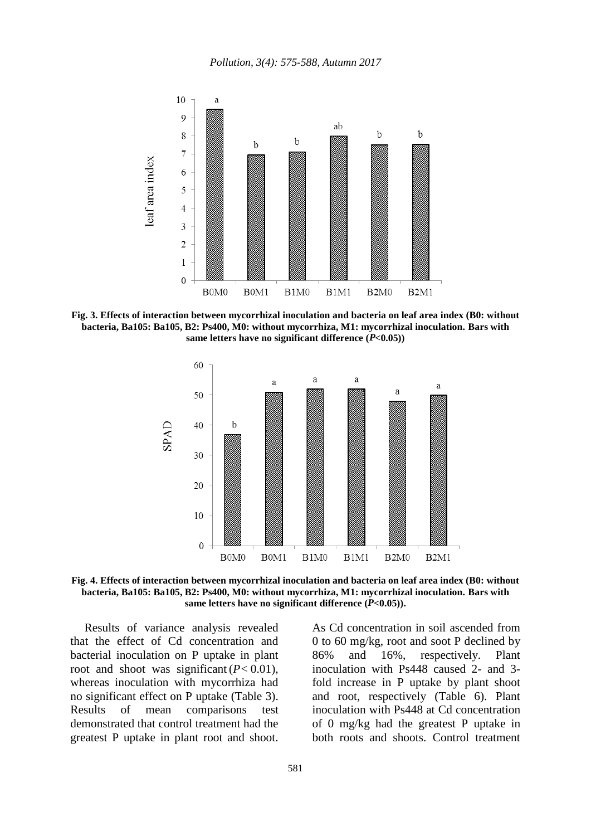

**Fig. 3. Effects of interaction between mycorrhizal inoculation and bacteria on leaf area index (B0: without bacteria, Ba105: Ba105, B2: Ps400, M0: without mycorrhiza, M1: mycorrhizal inoculation. Bars with**  same letters have no significant difference  $(P<0.05)$ )



**Fig. 4. Effects of interaction between mycorrhizal inoculation and bacteria on leaf area index (B0: without bacteria, Ba105: Ba105, B2: Ps400, M0: without mycorrhiza, M1: mycorrhizal inoculation. Bars with**  same letters have no significant difference  $(P<0.05)$ ).

Results of variance analysis revealed that the effect of Cd concentration and bacterial inoculation on P uptake in plant root and shoot was significant  $(P< 0.01)$ , whereas inoculation with mycorrhiza had no significant effect on P uptake (Table 3). Results of mean comparisons test demonstrated that control treatment had the greatest P uptake in plant root and shoot.

As Cd concentration in soil ascended from 0 to 60 mg/kg, root and soot P declined by 86% and 16%, respectively. Plant inoculation with Ps448 caused 2- and 3 fold increase in P uptake by plant shoot and root, respectively (Table 6). Plant inoculation with Ps448 at Cd concentration of 0 mg/kg had the greatest P uptake in both roots and shoots. Control treatment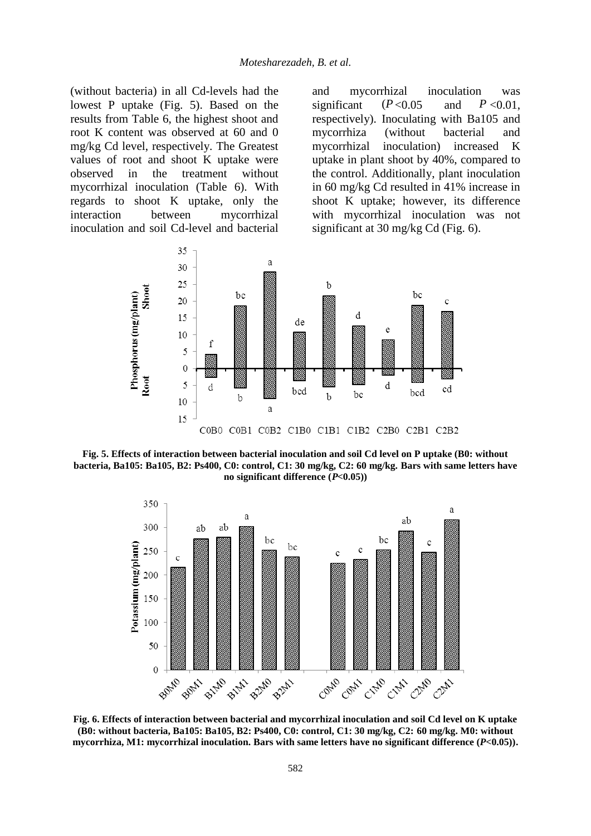(without bacteria) in all Cd-levels had the lowest P uptake (Fig. 5). Based on the results from Table 6, the highest shoot and root K content was observed at 60 and 0 mg/kg Cd level, respectively. The Greatest values of root and shoot K uptake were observed in the treatment without mycorrhizal inoculation (Table 6). With regards to shoot K uptake, only the interaction between mycorrhizal inoculation and soil Cd-level and bacterial and mycorrhizal inoculation was significant  $(P<0.05$  and  $P<0.01$ , respectively). Inoculating with Ba105 and mycorrhiza (without bacterial and mycorrhizal inoculation) increased K uptake in plant shoot by 40%, compared to the control. Additionally, plant inoculation in 60 mg/kg Cd resulted in 41% increase in shoot K uptake; however, its difference with mycorrhizal inoculation was not significant at 30 mg/kg Cd (Fig. 6).  $(P< 0.05$ 



**Fig. 5. Effects of interaction between bacterial inoculation and soil Cd level on P uptake (B0: without bacteria, Ba105: Ba105, B2: Ps400, C0: control, C1: 30 mg/kg, C2: 60 mg/kg. Bars with same letters have** no significant difference  $(P<0.05)$ 



**Fig. 6. Effects of interaction between bacterial and mycorrhizal inoculation and soil Cd level on K uptake (B0: without bacteria, Ba105: Ba105, B2: Ps400, C0: control, C1: 30 mg/kg, C2: 60 mg/kg. M0: without**  mycorrhiza, M1: mycorrhizal inoculation. Bars with same letters have no significant difference (P<0.05)).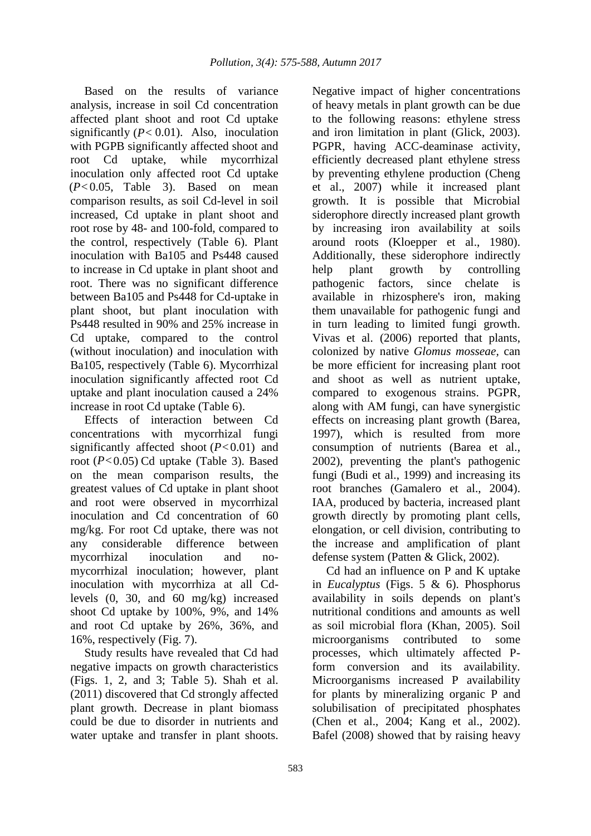Based on the results of variance analysis, increase in soil Cd concentration affected plant shoot and root Cd uptake significantly  $(P < 0.01)$ . Also, inoculation with PGPB significantly affected shoot and root Cd uptake, while mycorrhizal inoculation only affected root Cd uptake  $(P< 0.05$ , Table 3). Based on mean comparison results, as soil Cd-level in soil increased, Cd uptake in plant shoot and root rose by 48- and 100-fold, compared to the control, respectively (Table 6). Plant inoculation with Ba105 and Ps448 caused to increase in Cd uptake in plant shoot and root. There was no significant difference between Ba105 and Ps448 for Cd-uptake in plant shoot, but plant inoculation with Ps448 resulted in 90% and 25% increase in Cd uptake, compared to the control (without inoculation) and inoculation with Ba105, respectively (Table 6). Mycorrhizal inoculation significantly affected root Cd uptake and plant inoculation caused a 24% increase in root Cd uptake (Table 6).

Effects of interaction between Cd concentrations with mycorrhizal fungi significantly affected shoot  $(P< 0.01)$  and root (P<0.05) Cd uptake (Table 3). Based on the mean comparison results, the greatest values of Cd uptake in plant shoot and root were observed in mycorrhizal inoculation and Cd concentration of 60 mg/kg. For root Cd uptake, there was not any considerable difference between mycorrhizal inoculation and nomycorrhizal inoculation; however, plant inoculation with mycorrhiza at all Cdlevels (0, 30, and 60 mg/kg) increased shoot Cd uptake by 100%, 9%, and 14% and root Cd uptake by 26%, 36%, and 16%, respectively (Fig. 7).

Study results have revealed that Cd had negative impacts on growth characteristics (Figs. 1, 2, and 3; Table 5). Shah et al. (2011) discovered that Cd strongly affected plant growth. Decrease in plant biomass could be due to disorder in nutrients and water uptake and transfer in plant shoots. Negative impact of higher concentrations of heavy metals in plant growth can be due to the following reasons: ethylene stress and iron limitation in plant (Glick, 2003). PGPR, having ACC-deaminase activity, efficiently decreased plant ethylene stress by preventing ethylene production (Cheng et al., 2007) while it increased plant growth. It is possible that Microbial siderophore directly increased plant growth by increasing iron availability at soils around roots (Kloepper et al., 1980). Additionally, these siderophore indirectly help plant growth by controlling pathogenic factors, since chelate is available in rhizosphere's iron, making them unavailable for pathogenic fungi and in turn leading to limited fungi growth. Vivas et al. (2006) reported that plants, colonized by native *Glomus mosseae,* can be more efficient for increasing plant root and shoot as well as nutrient uptake, compared to exogenous strains. PGPR, along with AM fungi, can have synergistic effects on increasing plant growth (Barea, 1997), which is resulted from more consumption of nutrients (Barea et al., 2002), preventing the plant's pathogenic fungi (Budi et al., 1999) and increasing its root branches (Gamalero et al., 2004). IAA, produced by bacteria, increased plant growth directly by promoting plant cells, elongation, or cell division, contributing to the increase and amplification of plant defense system (Patten & Glick, 2002).

Cd had an influence on P and K uptake in *Eucalyptus* (Figs. 5 & 6). Phosphorus availability in soils depends on plant's nutritional conditions and amounts as well as soil microbial flora (Khan, 2005). Soil microorganisms contributed to some processes, which ultimately affected Pform conversion and its availability. Microorganisms increased P availability for plants by mineralizing organic P and solubilisation of precipitated phosphates (Chen et al., 2004; Kang et al., 2002). Bafel (2008) showed that by raising heavy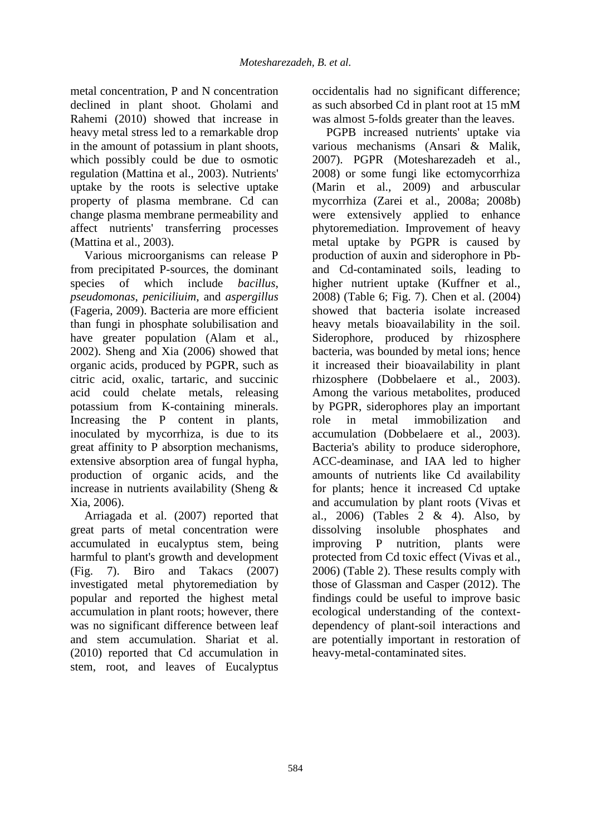metal concentration, P and N concentration declined in plant shoot. Gholami and Rahemi (2010) showed that increase in heavy metal stress led to a remarkable drop in the amount of potassium in plant shoots, which possibly could be due to osmotic regulation (Mattina et al., 2003). Nutrients' uptake by the roots is selective uptake property of plasma membrane. Cd can change plasma membrane permeability and affect nutrients' transferring processes (Mattina et al., 2003).

Various microorganisms can release P from precipitated P-sources, the dominant species of which include *bacillus*, *pseudomonas*, *peniciliuim*, and *aspergillus* (Fageria, 2009). Bacteria are more efficient than fungi in phosphate solubilisation and have greater population (Alam et al., 2002). Sheng and Xia (2006) showed that organic acids, produced by PGPR, such as citric acid, oxalic, tartaric, and succinic acid could chelate metals, releasing potassium from K-containing minerals. Increasing the P content in plants, inoculated by mycorrhiza, is due to its great affinity to P absorption mechanisms, extensive absorption area of fungal hypha, production of organic acids, and the increase in nutrients availability (Sheng & Xia, 2006).

Arriagada et al. (2007) reported that great parts of metal concentration were accumulated in eucalyptus stem, being harmful to plant's growth and development (Fig. 7). Biro and Takacs (2007) investigated metal phytoremediation by popular and reported the highest metal accumulation in plant roots; however, there was no significant difference between leaf and stem accumulation. Shariat et al. (2010) reported that Cd accumulation in stem, root, and leaves of Eucalyptus

occidentalis had no significant difference; as such absorbed Cd in plant root at 15 mM was almost 5-folds greater than the leaves.

PGPB increased nutrients' uptake via various mechanisms (Ansari & Malik, 2007). PGPR (Motesharezadeh et al., 2008) or some fungi like ectomycorrhiza (Marin et al., 2009) and arbuscular mycorrhiza (Zarei et al., 2008a; 2008b) were extensively applied to enhance phytoremediation. Improvement of heavy metal uptake by PGPR is caused by production of auxin and siderophore in Pband Cd-contaminated soils, leading to higher nutrient uptake (Kuffner et al., 2008) (Table 6; Fig. 7). Chen et al. (2004) showed that bacteria isolate increased heavy metals bioavailability in the soil. Siderophore, produced by rhizosphere bacteria, was bounded by metal ions; hence it increased their bioavailability in plant rhizosphere (Dobbelaere et al*.,* 2003). Among the various metabolites, produced by PGPR, siderophores play an important role in metal immobilization and accumulation (Dobbelaere et al., 2003). Bacteria's ability to produce siderophore, ACC-deaminase, and IAA led to higher amounts of nutrients like Cd availability for plants; hence it increased Cd uptake and accumulation by plant roots (Vivas et al., 2006) (Tables 2 & 4). Also, by dissolving insoluble phosphates and improving P nutrition, plants were protected from Cd toxic effect (Vivas et al., 2006) (Table 2). These results comply with those of Glassman and Casper (2012). The findings could be useful to improve basic ecological understanding of the contextdependency of plant-soil interactions and are potentially important in restoration of heavy-metal-contaminated sites.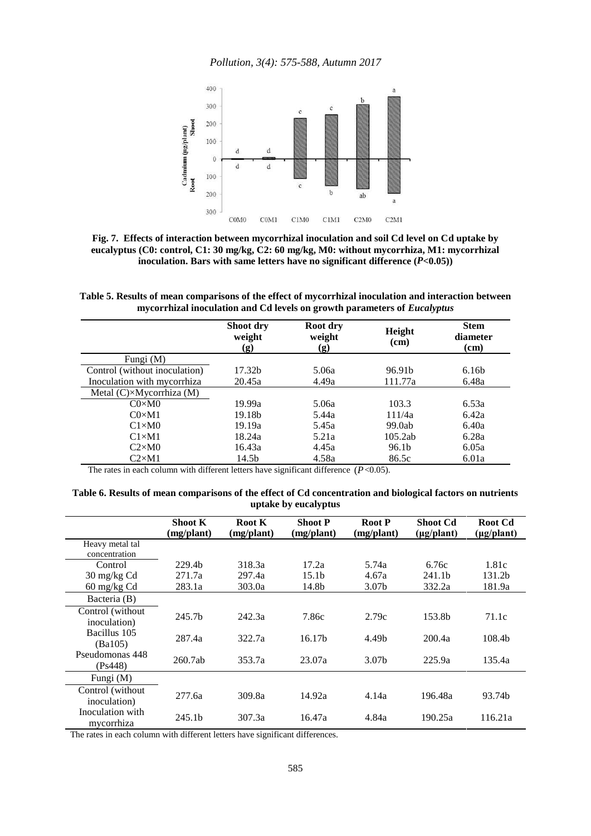*Pollution, 3(4): 575-588, Autumn 2017*



**Fig. 7. Effects of interaction between mycorrhizal inoculation and soil Cd level on Cd uptake by eucalyptus (C0: control, C1: 30 mg/kg, C2: 60 mg/kg, M0: without mycorrhiza, M1: mycorrhizal**  inoculation. Bars with same letters have no significant difference  $(P<0.05)$ )

**Table 5. Results of mean comparisons of the effect of mycorrhizal inoculation and interaction between mycorrhizal inoculation and Cd levels on growth parameters of** *Eucalyptus*

|                                  | Shoot dry<br>weight<br>(g) | Root dry<br>weight<br>(g) | Height<br>(cm)     | <b>Stem</b><br>diameter<br>(cm) |  |
|----------------------------------|----------------------------|---------------------------|--------------------|---------------------------------|--|
| Fungi (M)                        |                            |                           |                    |                                 |  |
| Control (without inoculation)    | 17.32b                     | 5.06a                     | 96.91 <sub>b</sub> | 6.16 <sub>b</sub>               |  |
| Inoculation with mycorrhiza      | 20.45a                     | 4.49a                     | 111.77a            | 6.48a                           |  |
| Metal $(C) \times Mycorthiza(M)$ |                            |                           |                    |                                 |  |
| $CO \times MO$                   | 19.99a                     | 5.06a                     | 103.3              | 6.53a                           |  |
| $C0\times M1$                    | 19.18 <sub>b</sub>         | 5.44a                     | 111/4a             | 6.42a                           |  |
| $C1\times M0$                    | 19.19a                     | 5.45a                     | 99.0ab             | 6.40a                           |  |
| $C1\times M1$                    | 18.24a                     | 5.21a                     | 105.2ab            | 6.28a                           |  |
| $C2\times M0$                    | 16.43a                     | 4.45a                     | 96.1b              | 6.05a                           |  |
| $C2\times M1$                    | 14.5b                      | 4.58a                     | 86.5c              | 6.01a                           |  |

The rates in each column with different letters have significant difference  $(P<0.05)$ .

**Table 6. Results of mean comparisons of the effect of Cd concentration and biological factors on nutrients uptake by eucalyptus** 

|                                   | <b>Shoot K</b><br>(mg/plant) | Root K<br>(mg/plant) | <b>Shoot P</b><br>(mg/plant) | <b>Root P</b><br>(mg/plant) | <b>Shoot Cd</b><br>$(\mu g$ /plant) | Root Cd<br>$(\mu g$ /plant) |
|-----------------------------------|------------------------------|----------------------|------------------------------|-----------------------------|-------------------------------------|-----------------------------|
| Heavy metal tal<br>concentration  |                              |                      |                              |                             |                                     |                             |
| Control                           | 229.4b                       | 318.3a               | 17.2a                        | 5.74a                       | 6.76c                               | 1.81c                       |
| 30 mg/kg Cd                       | 271.7a                       | 297.4a               | 15.1 <sub>b</sub>            | 4.67a                       | 241.1 <sub>b</sub>                  | 131.2b                      |
| $60 \text{ mg/kg}$ Cd             | 283.1a                       | 303.0a               | 14.8b                        | 3.07b                       | 332.2a                              | 181.9a                      |
| Bacteria (B)                      |                              |                      |                              |                             |                                     |                             |
| Control (without<br>inoculation)  | 245.7b                       | 242.3a               | 7.86c                        | 2.79c                       | 153.8b                              | 71.1c                       |
| Bacillus 105<br>(Ba105)           | 287.4a                       | 322.7a               | 16.17 <sub>b</sub>           | 4.49b                       | 200.4a                              | 108.4 <sub>b</sub>          |
| Pseudomonas 448<br>(Ps448)        | 260.7ab                      | 353.7a               | 23.07a                       | 3.07b                       | 225.9a                              | 135.4a                      |
| Fungi (M)                         |                              |                      |                              |                             |                                     |                             |
| Control (without)<br>inoculation) | 277.6a                       | 309.8a               | 14.92a                       | 4.14a                       | 196.48a                             | 93.74b                      |
| Inoculation with<br>mycorrhiza    | 245.1 <sub>b</sub>           | 307.3a               | 16.47a                       | 4.84a                       | 190.25a                             | 116.21a                     |

The rates in each column with different letters have significant differences.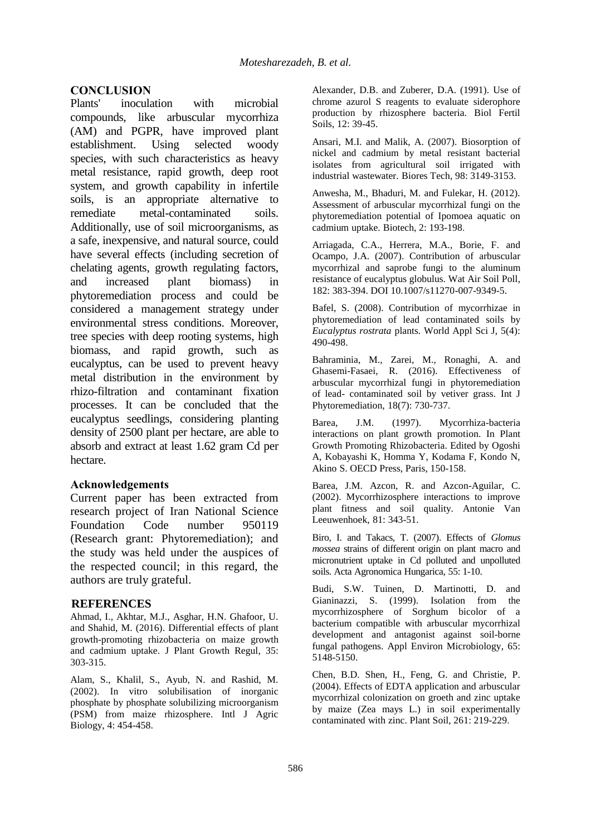# **CONCLUSION**<br>Plants' inocula

inoculation with microbial compounds, like arbuscular mycorrhiza (AM) and PGPR, have improved plant establishment. Using selected woody species, with such characteristics as heavy metal resistance, rapid growth, deep root system, and growth capability in infertile soils, is an appropriate alternative to remediate metal-contaminated soils. Additionally, use of soil microorganisms, as a safe, inexpensive, and natural source, could have several effects (including secretion of chelating agents, growth regulating factors, and increased plant biomass) in phytoremediation process and could be considered a management strategy under environmental stress conditions. Moreover, tree species with deep rooting systems, high biomass, and rapid growth, such as eucalyptus, can be used to prevent heavy metal distribution in the environment by rhizo-filtration and contaminant fixation processes. It can be concluded that the eucalyptus seedlings, considering planting density of 2500 plant per hectare, are able to absorb and extract at least 1.62 gram Cd per hectare.

#### **Acknowledgements**

Current paper has been extracted from research project of Iran National Science Foundation Code number 950119 (Research grant: Phytoremediation); and the study was held under the auspices of the respected council; in this regard, the authors are truly grateful.

#### **REFERENCES**

Ahmad, I., Akhtar, M.J., Asghar, H.N. Ghafoor, U. and Shahid, M. (2016). Differential effects of plant growth-promoting rhizobacteria on maize growth and cadmium uptake. J Plant Growth Regul, 35: 303-315.

Alam, S., Khalil, S., Ayub, N. and Rashid, M. (2002). In vitro solubilisation of inorganic phosphate by phosphate solubilizing microorganism (PSM) from maize rhizosphere. Intl J Agric Biology, 4: 454-458.

Alexander, D.B. and Zuberer, D.A. (1991). Use of chrome azurol S reagents to evaluate siderophore production by rhizosphere bacteria. Biol Fertil Soils, 12: 39-45.

Ansari, M.I. and Malik, A. (2007). Biosorption of nickel and cadmium by metal resistant bacterial isolates from agricultural soil irrigated with industrial wastewater. Biores Tech, 98: 3149-3153.

Anwesha, M., Bhaduri, M. and Fulekar, H. (2012). Assessment of arbuscular mycorrhizal fungi on the phytoremediation potential of Ipomoea aquatic on cadmium uptake. Biotech, 2: 193-198.

Arriagada, C.A., Herrera, M.A., Borie, F. and Ocampo, J.A. (2007). Contribution of arbuscular mycorrhizal and saprobe fungi to the aluminum resistance of eucalyptus globulus. Wat Air Soil Poll, 182: 383-394. DOI 10.1007/s11270-007-9349-5.

Bafel, S. (2008). Contribution of mycorrhizae in phytoremediation of lead contaminated soils by *Eucalyptus rostrata* plants. World Appl Sci J, 5(4): 490-498.

Bahraminia, M., Zarei, M., Ronaghi, A. and Ghasemi-Fasaei, R. (2016). Effectiveness of arbuscular mycorrhizal fungi in phytoremediation of lead- contaminated soil by vetiver grass. Int J Phytoremediation, 18(7): 730-737.

Barea, J.M. (1997). Mycorrhiza-bacteria interactions on plant growth promotion. In Plant Growth Promoting Rhizobacteria. Edited by Ogoshi A, Kobayashi K, Homma Y, Kodama F, Kondo N, Akino S. OECD Press, Paris, 150-158.

Barea, J.M. Azcon, R. and Azcon-Aguilar, C. (2002). Mycorrhizosphere interactions to improve plant fitness and soil quality. Antonie Van Leeuwenhoek, 81: 343-51.

Biro, I. and Takacs, T. (2007). Effects of *Glomus mossea* strains of different origin on plant macro and micronutrient uptake in Cd polluted and unpolluted soils. Acta Agronomica Hungarica, 55: 1-10.

Budi, S.W. Tuinen, D. Martinotti, D. and Gianinazzi, S. (1999). Isolation from the mycorrhizosphere of Sorghum bicolor of a bacterium compatible with arbuscular mycorrhizal development and antagonist against soil-borne fungal pathogens. Appl Environ Microbiology, 65: 5148-5150.

Chen, B.D. Shen, H., Feng, G. and Christie, P. (2004). Effects of EDTA application and arbuscular mycorrhizal colonization on groeth and zinc uptake by maize (Zea mays L.) in soil experimentally contaminated with zinc. Plant Soil, 261: 219-229.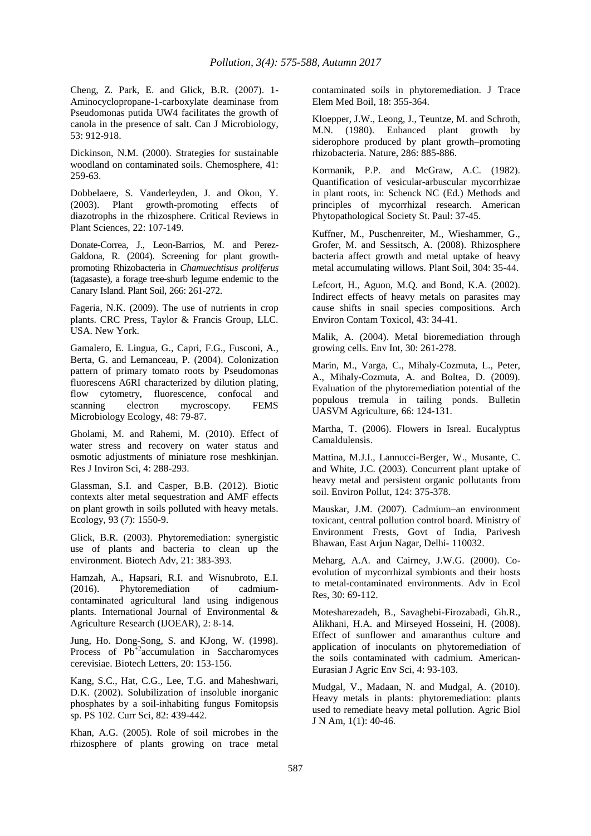Cheng, Z. Park, E. and Glick, B.R. (2007). 1- Aminocyclopropane-1-carboxylate deaminase from Pseudomonas putida UW4 facilitates the growth of canola in the presence of salt. Can J Microbiology, 53: 912-918.

Dickinson, N.M. (2000). Strategies for sustainable woodland on contaminated soils. Chemosphere, 41: 259-63.

Dobbelaere, S. Vanderleyden, J. and Okon, Y. (2003). Plant growth-promoting effects of diazotrophs in the rhizosphere. Critical Reviews in Plant Sciences, 22: 107-149.

Donate-Correa, J., Leon-Barrios, M. and Perez-Galdona, R. (2004). Screening for plant growthpromoting Rhizobacteria in *Chamuechtisus proliferus* (tagasaste), a forage tree-shurb legume endemic to the Canary Island. Plant Soil, 266: 261-272.

Fageria, N.K. (2009). The use of nutrients in crop plants. CRC Press, Taylor & Francis Group, LLC. USA. New York.

Gamalero, E. Lingua, G., Capri, F.G., Fusconi, A., Berta, G. and Lemanceau, P. (2004). Colonization pattern of primary tomato roots by Pseudomonas fluorescens A6RI characterized by dilution plating, flow cytometry, fluorescence, confocal and scanning electron mycroscopy. FEMS Microbiology Ecology, 48: 79-87.

Gholami, M. and Rahemi, M. (2010). Effect of water stress and recovery on water status and osmotic adjustments of miniature rose meshkinjan. Res J Inviron Sci, 4: 288-293.

Glassman, S.I. and Casper, B.B. (2012). Biotic contexts alter metal sequestration and AMF effects on plant growth in soils polluted with heavy metals. Ecology, 93 (7): 1550-9.

Glick, B.R. (2003). Phytoremediation: synergistic use of plants and bacteria to clean up the environment. Biotech Adv, 21: 383-393.

Hamzah, A., Hapsari, R.I. and Wisnubroto, E.I. (2016). Phytoremediation of cadmiumcontaminated agricultural land using indigenous plants. International Journal of Environmental & Agriculture Research (IJOEAR), 2: 8-14.

Jung, Ho. Dong-Song, S. and KJong, W. (1998). Process of  $Pb^{+2}$  accumulation in Saccharomyces cerevisiae. Biotech Letters, 20: 153-156.

Kang, S.C., Hat, C.G., Lee, T.G. and Maheshwari, D.K. (2002). Solubilization of insoluble inorganic phosphates by a soil-inhabiting fungus Fomitopsis sp. PS 102. Curr Sci, 82: 439-442.

Khan, A.G. (2005). Role of soil microbes in the rhizosphere of plants growing on trace metal contaminated soils in phytoremediation. J Trace Elem Med Boil, 18: 355-364.

Kloepper, J.W., Leong, J., Teuntze, M. and Schroth, M.N. (1980). Enhanced plant growth by siderophore produced by plant growth–promoting rhizobacteria. Nature, 286: 885-886.

Kormanik, P.P. and McGraw, A.C. (1982). Quantification of vesicular-arbuscular mycorrhizae in plant roots, in: Schenck NC (Ed.) Methods and principles of mycorrhizal research. American Phytopathological Society St. Paul: 37-45.

Kuffner, M., Puschenreiter, M., Wieshammer, G., Grofer, M. and Sessitsch, A. (2008). Rhizosphere bacteria affect growth and metal uptake of heavy metal accumulating willows. Plant Soil, 304: 35-44.

Lefcort, H., Aguon, M.Q. and Bond, K.A. (2002). Indirect effects of heavy metals on parasites may cause shifts in snail species compositions. Arch Environ Contam Toxicol, 43: 34-41.

Malik, A. (2004). Metal bioremediation through growing cells. Env Int, 30: 261-278.

Marin, M., Varga, C., Mihaly-Cozmuta, L., Peter, A., Mihaly-Cozmuta, A. and Boltea, D. (2009). Evaluation of the phytoremediation potential of the populous tremula in tailing ponds. Bulletin UASVM Agriculture, 66: 124-131.

Martha, T. (2006). Flowers in Isreal. Eucalyptus Camaldulensis.

Mattina, M.J.I., Lannucci-Berger, W., Musante, C. and White, J.C. (2003). Concurrent plant uptake of heavy metal and persistent organic pollutants from soil. Environ Pollut, 124: 375-378.

Mauskar, J.M. (2007). Cadmium–an environment toxicant, central pollution control board. Ministry of Environment Frests, Govt of India, Parivesh Bhawan, East Arjun Nagar, Delhi- 110032.

Meharg, A.A. and Cairney, J.W.G. (2000). Coevolution of mycorrhizal symbionts and their hosts to metal-contaminated environments. Adv in Ecol Res, 30: 69-112.

Motesharezadeh, B., Savaghebi-Firozabadi, Gh.R., Alikhani, H.A. and Mirseyed Hosseini, H. (2008). Effect of sunflower and amaranthus culture and application of inoculants on phytoremediation of the soils contaminated with cadmium. American-Eurasian J Agric Env Sci, 4: 93-103.

Mudgal, V., Madaan, N. and Mudgal, A. (2010). Heavy metals in plants: phytoremediation: plants used to remediate heavy metal pollution. Agric Biol J N Am, 1(1): 40-46.